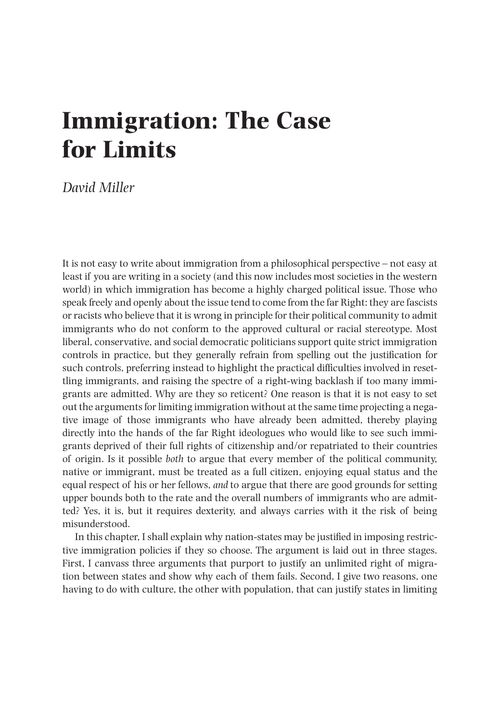# **Immigration: The Case for Limits**

*David Miller*

It is not easy to write about immigration from a philosophical perspective – not easy at least if you are writing in a society (and this now includes most societies in the western world) in which immigration has become a highly charged political issue. Those who speak freely and openly about the issue tend to come from the far Right: they are fascists or racists who believe that it is wrong in principle for their political community to admit immigrants who do not conform to the approved cultural or racial stereotype. Most liberal, conservative, and social democratic politicians support quite strict immigration controls in practice, but they generally refrain from spelling out the justification for such controls, preferring instead to highlight the practical difficulties involved in resettling immigrants, and raising the spectre of a right-wing backlash if too many immigrants are admitted. Why are they so reticent? One reason is that it is not easy to set out the arguments for limiting immigration without at the same time projecting a negative image of those immigrants who have already been admitted, thereby playing directly into the hands of the far Right ideologues who would like to see such immigrants deprived of their full rights of citizenship and/or repatriated to their countries of origin. Is it possible *both* to argue that every member of the political community, native or immigrant, must be treated as a full citizen, enjoying equal status and the equal respect of his or her fellows, *and* to argue that there are good grounds for setting upper bounds both to the rate and the overall numbers of immigrants who are admitted? Yes, it is, but it requires dexterity, and always carries with it the risk of being misunderstood.

In this chapter, I shall explain why nation-states may be justified in imposing restrictive immigration policies if they so choose. The argument is laid out in three stages. First, I canvass three arguments that purport to justify an unlimited right of migration between states and show why each of them fails. Second, I give two reasons, one having to do with culture, the other with population, that can justify states in limiting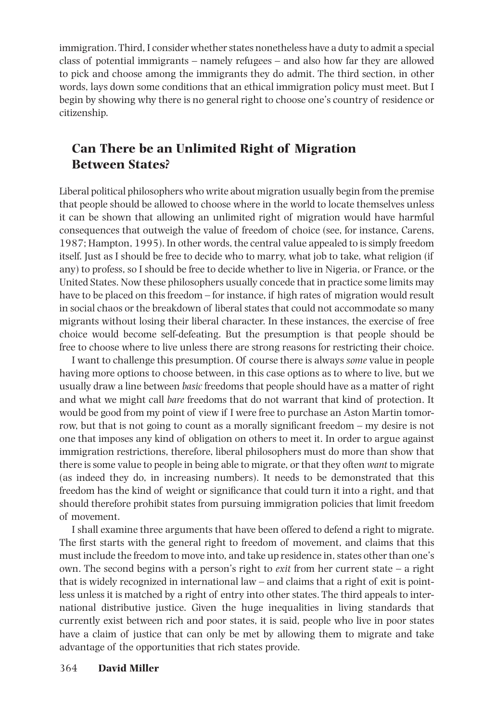immigration. Third, I consider whether states nonetheless have a duty to admit a special class of potential immigrants – namely refugees – and also how far they are allowed to pick and choose among the immigrants they do admit. The third section, in other words, lays down some conditions that an ethical immigration policy must meet. But I begin by showing why there is no general right to choose one's country of residence or citizenship.

# **Can There be an Unlimited Right of Migration Between States?**

Liberal political philosophers who write about migration usually begin from the premise that people should be allowed to choose where in the world to locate themselves unless it can be shown that allowing an unlimited right of migration would have harmful consequences that outweigh the value of freedom of choice (see, for instance, Carens, 1987; Hampton, 1995). In other words, the central value appealed to is simply freedom itself. Just as I should be free to decide who to marry, what job to take, what religion (if any) to profess, so I should be free to decide whether to live in Nigeria, or France, or the United States. Now these philosophers usually concede that in practice some limits may have to be placed on this freedom – for instance, if high rates of migration would result in social chaos or the breakdown of liberal states that could not accommodate so many migrants without losing their liberal character. In these instances, the exercise of free choice would become self-defeating. But the presumption is that people should be free to choose where to live unless there are strong reasons for restricting their choice.

I want to challenge this presumption. Of course there is always *some* value in people having more options to choose between, in this case options as to where to live, but we usually draw a line between *basic* freedoms that people should have as a matter of right and what we might call *bare* freedoms that do not warrant that kind of protection. It would be good from my point of view if I were free to purchase an Aston Martin tomorrow, but that is not going to count as a morally significant freedom – my desire is not one that imposes any kind of obligation on others to meet it. In order to argue against immigration restrictions, therefore, liberal philosophers must do more than show that there is some value to people in being able to migrate, or that they often *want* to migrate (as indeed they do, in increasing numbers). It needs to be demonstrated that this freedom has the kind of weight or significance that could turn it into a right, and that should therefore prohibit states from pursuing immigration policies that limit freedom of movement.

I shall examine three arguments that have been offered to defend a right to migrate. The first starts with the general right to freedom of movement, and claims that this must include the freedom to move into, and take up residence in, states other than one's own. The second begins with a person's right to *exit* from her current state – a right that is widely recognized in international law – and claims that a right of exit is pointless unless it is matched by a right of entry into other states. The third appeals to international distributive justice. Given the huge inequalities in living standards that currently exist between rich and poor states, it is said, people who live in poor states have a claim of justice that can only be met by allowing them to migrate and take advantage of the opportunities that rich states provide.

#### 364 **David Miller**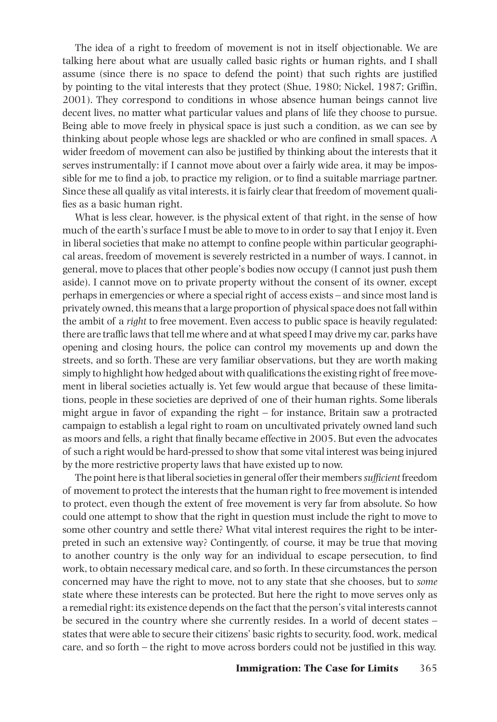The idea of a right to freedom of movement is not in itself objectionable. We are talking here about what are usually called basic rights or human rights, and I shall assume (since there is no space to defend the point) that such rights are justified by pointing to the vital interests that they protect (Shue, 1980; Nickel, 1987; Griffin, 2001). They correspond to conditions in whose absence human beings cannot live decent lives, no matter what particular values and plans of life they choose to pursue. Being able to move freely in physical space is just such a condition, as we can see by thinking about people whose legs are shackled or who are confined in small spaces. A wider freedom of movement can also be justified by thinking about the interests that it serves instrumentally: if I cannot move about over a fairly wide area, it may be impossible for me to find a job, to practice my religion, or to find a suitable marriage partner. Since these all qualify as vital interests, it is fairly clear that freedom of movement qualifies as a basic human right.

What is less clear, however, is the physical extent of that right, in the sense of how much of the earth's surface I must be able to move to in order to say that I enjoy it. Even in liberal societies that make no attempt to confine people within particular geographical areas, freedom of movement is severely restricted in a number of ways. I cannot, in general, move to places that other people's bodies now occupy (I cannot just push them aside). I cannot move on to private property without the consent of its owner, except perhaps in emergencies or where a special right of access exists – and since most land is privately owned, this means that a large proportion of physical space does not fall within the ambit of a *right* to free movement. Even access to public space is heavily regulated: there are traffic laws that tell me where and at what speed I may drive my car, parks have opening and closing hours, the police can control my movements up and down the streets, and so forth. These are very familiar observations, but they are worth making simply to highlight how hedged about with qualifications the existing right of free movement in liberal societies actually is. Yet few would argue that because of these limitations, people in these societies are deprived of one of their human rights. Some liberals might argue in favor of expanding the right – for instance, Britain saw a protracted campaign to establish a legal right to roam on uncultivated privately owned land such as moors and fells, a right that finally became effective in 2005. But even the advocates of such a right would be hard-pressed to show that some vital interest was being injured by the more restrictive property laws that have existed up to now.

The point here is that liberal societies in general offer their members *sufficient* freedom of movement to protect the interests that the human right to free movement is intended to protect, even though the extent of free movement is very far from absolute. So how could one attempt to show that the right in question must include the right to move to some other country and settle there? What vital interest requires the right to be interpreted in such an extensive way? Contingently, of course, it may be true that moving to another country is the only way for an individual to escape persecution, to find work, to obtain necessary medical care, and so forth. In these circumstances the person concerned may have the right to move, not to any state that she chooses, but to *some* state where these interests can be protected. But here the right to move serves only as a remedial right: its existence depends on the fact that the person's vital interests cannot be secured in the country where she currently resides. In a world of decent states – states that were able to secure their citizens' basic rights to security, food, work, medical care, and so forth – the right to move across borders could not be justified in this way.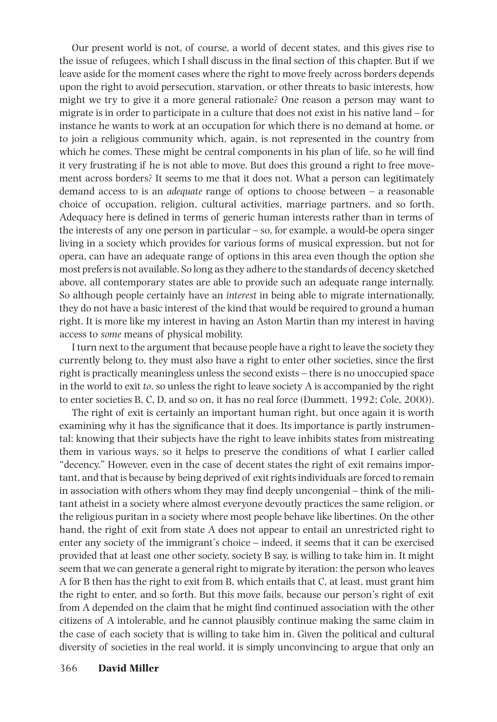Our present world is not, of course, a world of decent states, and this gives rise to the issue of refugees, which I shall discuss in the final section of this chapter. But if we leave aside for the moment cases where the right to move freely across borders depends upon the right to avoid persecution, starvation, or other threats to basic interests, how might we try to give it a more general rationale? One reason a person may want to migrate is in order to participate in a culture that does not exist in his native land – for instance he wants to work at an occupation for which there is no demand at home, or to join a religious community which, again, is not represented in the country from which he comes. These might be central components in his plan of life, so he will find it very frustrating if he is not able to move. But does this ground a right to free movement across borders? It seems to me that it does not. What a person can legitimately demand access to is an *adequate* range of options to choose between – a reasonable choice of occupation, religion, cultural activities, marriage partners, and so forth. Adequacy here is defined in terms of generic human interests rather than in terms of the interests of any one person in particular – so, for example, a would-be opera singer living in a society which provides for various forms of musical expression, but not for opera, can have an adequate range of options in this area even though the option she most prefers is not available. So long as they adhere to the standards of decency sketched above, all contemporary states are able to provide such an adequate range internally. So although people certainly have an *interest* in being able to migrate internationally, they do not have a basic interest of the kind that would be required to ground a human right. It is more like my interest in having an Aston Martin than my interest in having access to *some* means of physical mobility.

I turn next to the argument that because people have a right to leave the society they currently belong to, they must also have a right to enter other societies, since the first right is practically meaningless unless the second exists – there is no unoccupied space in the world to exit *to*, so unless the right to leave society A is accompanied by the right to enter societies B, C, D, and so on, it has no real force (Dummett, 1992; Cole, 2000).

The right of exit is certainly an important human right, but once again it is worth examining why it has the significance that it does. Its importance is partly instrumental: knowing that their subjects have the right to leave inhibits states from mistreating them in various ways, so it helps to preserve the conditions of what I earlier called "decency." However, even in the case of decent states the right of exit remains important, and that is because by being deprived of exit rights individuals are forced to remain in association with others whom they may find deeply uncongenial – think of the militant atheist in a society where almost everyone devoutly practices the same religion, or the religious puritan in a society where most people behave like libertines. On the other hand, the right of exit from state A does not appear to entail an unrestricted right to enter any society of the immigrant's choice – indeed, it seems that it can be exercised provided that at least one other society, society B say, is willing to take him in. It might seem that we can generate a general right to migrate by iteration: the person who leaves A for B then has the right to exit from B, which entails that C, at least, must grant him the right to enter, and so forth. But this move fails, because our person's right of exit from A depended on the claim that he might find continued association with the other citizens of A intolerable, and he cannot plausibly continue making the same claim in the case of each society that is willing to take him in. Given the political and cultural diversity of societies in the real world, it is simply unconvincing to argue that only an

#### 366 **David Miller**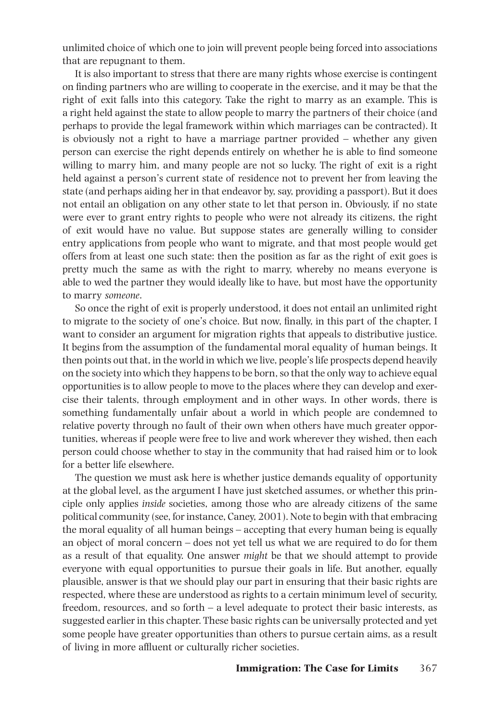unlimited choice of which one to join will prevent people being forced into associations that are repugnant to them.

It is also important to stress that there are many rights whose exercise is contingent on finding partners who are willing to cooperate in the exercise, and it may be that the right of exit falls into this category. Take the right to marry as an example. This is a right held against the state to allow people to marry the partners of their choice (and perhaps to provide the legal framework within which marriages can be contracted). It is obviously not a right to have a marriage partner provided – whether any given person can exercise the right depends entirely on whether he is able to find someone willing to marry him, and many people are not so lucky. The right of exit is a right held against a person's current state of residence not to prevent her from leaving the state (and perhaps aiding her in that endeavor by, say, providing a passport). But it does not entail an obligation on any other state to let that person in. Obviously, if no state were ever to grant entry rights to people who were not already its citizens, the right of exit would have no value. But suppose states are generally willing to consider entry applications from people who want to migrate, and that most people would get offers from at least one such state: then the position as far as the right of exit goes is pretty much the same as with the right to marry, whereby no means everyone is able to wed the partner they would ideally like to have, but most have the opportunity to marry *someone*.

So once the right of exit is properly understood, it does not entail an unlimited right to migrate to the society of one's choice. But now, finally, in this part of the chapter, I want to consider an argument for migration rights that appeals to distributive justice. It begins from the assumption of the fundamental moral equality of human beings. It then points out that, in the world in which we live, people's life prospects depend heavily on the society into which they happens to be born, so that the only way to achieve equal opportunities is to allow people to move to the places where they can develop and exercise their talents, through employment and in other ways. In other words, there is something fundamentally unfair about a world in which people are condemned to relative poverty through no fault of their own when others have much greater opportunities, whereas if people were free to live and work wherever they wished, then each person could choose whether to stay in the community that had raised him or to look for a better life elsewhere.

The question we must ask here is whether justice demands equality of opportunity at the global level, as the argument I have just sketched assumes, or whether this principle only applies *inside* societies, among those who are already citizens of the same political community (see, for instance, Caney, 2001). Note to begin with that embracing the moral equality of all human beings – accepting that every human being is equally an object of moral concern – does not yet tell us what we are required to do for them as a result of that equality. One answer *might* be that we should attempt to provide everyone with equal opportunities to pursue their goals in life. But another, equally plausible, answer is that we should play our part in ensuring that their basic rights are respected, where these are understood as rights to a certain minimum level of security, freedom, resources, and so forth – a level adequate to protect their basic interests, as suggested earlier in this chapter. These basic rights can be universally protected and yet some people have greater opportunities than others to pursue certain aims, as a result of living in more affluent or culturally richer societies.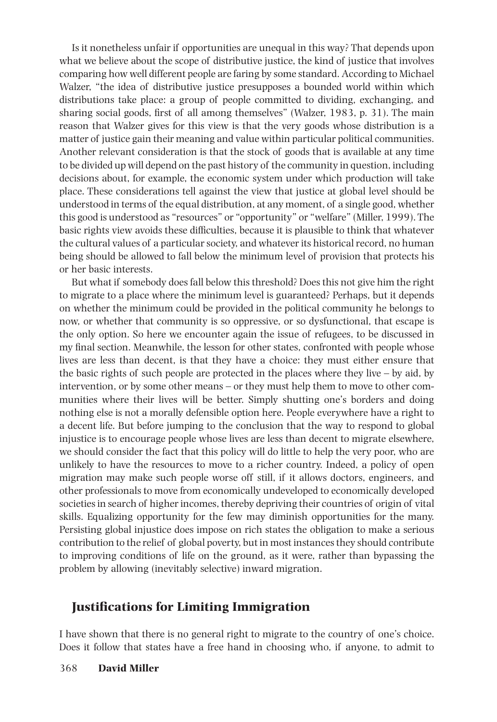Is it nonetheless unfair if opportunities are unequal in this way? That depends upon what we believe about the scope of distributive justice, the kind of justice that involves comparing how well different people are faring by some standard. According to Michael Walzer, "the idea of distributive justice presupposes a bounded world within which distributions take place: a group of people committed to dividing, exchanging, and sharing social goods, first of all among themselves" (Walzer, 1983, p. 31). The main reason that Walzer gives for this view is that the very goods whose distribution is a matter of justice gain their meaning and value within particular political communities. Another relevant consideration is that the stock of goods that is available at any time to be divided up will depend on the past history of the community in question, including decisions about, for example, the economic system under which production will take place. These considerations tell against the view that justice at global level should be understood in terms of the equal distribution, at any moment, of a single good, whether this good is understood as "resources" or "opportunity" or "welfare" (Miller, 1999). The basic rights view avoids these difficulties, because it is plausible to think that whatever the cultural values of a particular society, and whatever its historical record, no human being should be allowed to fall below the minimum level of provision that protects his or her basic interests.

But what if somebody does fall below this threshold? Does this not give him the right to migrate to a place where the minimum level is guaranteed? Perhaps, but it depends on whether the minimum could be provided in the political community he belongs to now, or whether that community is so oppressive, or so dysfunctional, that escape is the only option. So here we encounter again the issue of refugees, to be discussed in my final section. Meanwhile, the lesson for other states, confronted with people whose lives are less than decent, is that they have a choice: they must either ensure that the basic rights of such people are protected in the places where they live – by aid, by intervention, or by some other means – or they must help them to move to other communities where their lives will be better. Simply shutting one's borders and doing nothing else is not a morally defensible option here. People everywhere have a right to a decent life. But before jumping to the conclusion that the way to respond to global injustice is to encourage people whose lives are less than decent to migrate elsewhere, we should consider the fact that this policy will do little to help the very poor, who are unlikely to have the resources to move to a richer country. Indeed, a policy of open migration may make such people worse off still, if it allows doctors, engineers, and other professionals to move from economically undeveloped to economically developed societies in search of higher incomes, thereby depriving their countries of origin of vital skills. Equalizing opportunity for the few may diminish opportunities for the many. Persisting global injustice does impose on rich states the obligation to make a serious contribution to the relief of global poverty, but in most instances they should contribute to improving conditions of life on the ground, as it were, rather than bypassing the problem by allowing (inevitably selective) inward migration.

## **Justifications for Limiting Immigration**

I have shown that there is no general right to migrate to the country of one's choice. Does it follow that states have a free hand in choosing who, if anyone, to admit to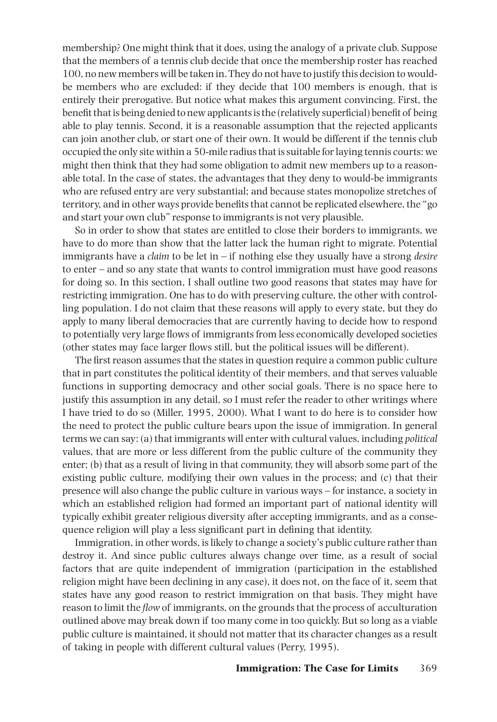membership? One might think that it does, using the analogy of a private club. Suppose that the members of a tennis club decide that once the membership roster has reached 100, no new members will be taken in. They do not have to justify this decision to wouldbe members who are excluded: if they decide that 100 members is enough, that is entirely their prerogative. But notice what makes this argument convincing. First, the benefit that is being denied to new applicants is the (relatively superficial) benefit of being able to play tennis. Second, it is a reasonable assumption that the rejected applicants can join another club, or start one of their own. It would be different if the tennis club occupied the only site within a 50-mile radius that is suitable for laying tennis courts: we might then think that they had some obligation to admit new members up to a reasonable total. In the case of states, the advantages that they deny to would-be immigrants who are refused entry are very substantial; and because states monopolize stretches of territory, and in other ways provide benefits that cannot be replicated elsewhere, the "go and start your own club" response to immigrants is not very plausible.

So in order to show that states are entitled to close their borders to immigrants, we have to do more than show that the latter lack the human right to migrate. Potential immigrants have a *claim* to be let in – if nothing else they usually have a strong *desire* to enter – and so any state that wants to control immigration must have good reasons for doing so. In this section, I shall outline two good reasons that states may have for restricting immigration. One has to do with preserving culture, the other with controlling population. I do not claim that these reasons will apply to every state, but they do apply to many liberal democracies that are currently having to decide how to respond to potentially very large flows of immigrants from less economically developed societies (other states may face larger flows still, but the political issues will be different).

The first reason assumes that the states in question require a common public culture that in part constitutes the political identity of their members, and that serves valuable functions in supporting democracy and other social goals. There is no space here to justify this assumption in any detail, so I must refer the reader to other writings where I have tried to do so (Miller, 1995, 2000). What I want to do here is to consider how the need to protect the public culture bears upon the issue of immigration. In general terms we can say: (a) that immigrants will enter with cultural values, including *political* values, that are more or less different from the public culture of the community they enter; (b) that as a result of living in that community, they will absorb some part of the existing public culture, modifying their own values in the process; and (c) that their presence will also change the public culture in various ways – for instance, a society in which an established religion had formed an important part of national identity will typically exhibit greater religious diversity after accepting immigrants, and as a consequence religion will play a less significant part in defining that identity.

Immigration, in other words, is likely to change a society's public culture rather than destroy it. And since public cultures always change over time, as a result of social factors that are quite independent of immigration (participation in the established religion might have been declining in any case), it does not, on the face of it, seem that states have any good reason to restrict immigration on that basis. They might have reason to limit the *flow* of immigrants, on the grounds that the process of acculturation outlined above may break down if too many come in too quickly. But so long as a viable public culture is maintained, it should not matter that its character changes as a result of taking in people with different cultural values (Perry, 1995).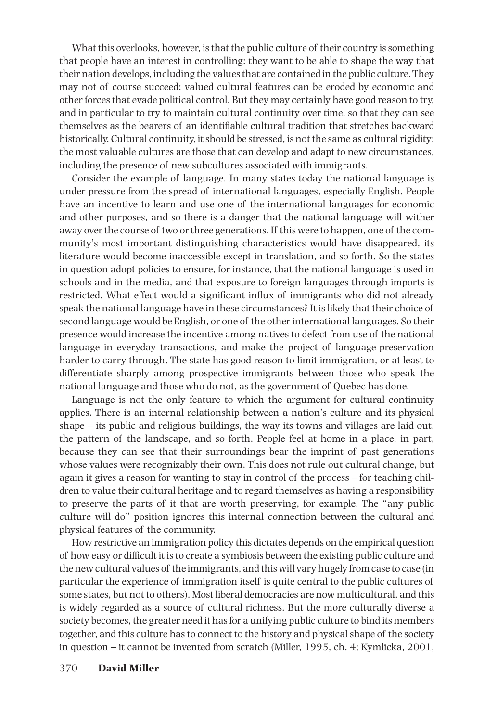What this overlooks, however, is that the public culture of their country is something that people have an interest in controlling: they want to be able to shape the way that their nation develops, including the values that are contained in the public culture. They may not of course succeed: valued cultural features can be eroded by economic and other forces that evade political control. But they may certainly have good reason to try, and in particular to try to maintain cultural continuity over time, so that they can see themselves as the bearers of an identifiable cultural tradition that stretches backward historically. Cultural continuity, it should be stressed, is not the same as cultural rigidity: the most valuable cultures are those that can develop and adapt to new circumstances, including the presence of new subcultures associated with immigrants.

Consider the example of language. In many states today the national language is under pressure from the spread of international languages, especially English. People have an incentive to learn and use one of the international languages for economic and other purposes, and so there is a danger that the national language will wither away over the course of two or three generations. If this were to happen, one of the community's most important distinguishing characteristics would have disappeared, its literature would become inaccessible except in translation, and so forth. So the states in question adopt policies to ensure, for instance, that the national language is used in schools and in the media, and that exposure to foreign languages through imports is restricted. What effect would a significant influx of immigrants who did not already speak the national language have in these circumstances? It is likely that their choice of second language would be English, or one of the other international languages. So their presence would increase the incentive among natives to defect from use of the national language in everyday transactions, and make the project of language-preservation harder to carry through. The state has good reason to limit immigration, or at least to differentiate sharply among prospective immigrants between those who speak the national language and those who do not, as the government of Quebec has done.

Language is not the only feature to which the argument for cultural continuity applies. There is an internal relationship between a nation's culture and its physical shape – its public and religious buildings, the way its towns and villages are laid out, the pattern of the landscape, and so forth. People feel at home in a place, in part, because they can see that their surroundings bear the imprint of past generations whose values were recognizably their own. This does not rule out cultural change, but again it gives a reason for wanting to stay in control of the process – for teaching children to value their cultural heritage and to regard themselves as having a responsibility to preserve the parts of it that are worth preserving, for example. The "any public culture will do" position ignores this internal connection between the cultural and physical features of the community.

How restrictive an immigration policy this dictates depends on the empirical question of how easy or difficult it is to create a symbiosis between the existing public culture and the new cultural values of the immigrants, and this will vary hugely from case to case (in particular the experience of immigration itself is quite central to the public cultures of some states, but not to others). Most liberal democracies are now multicultural, and this is widely regarded as a source of cultural richness. But the more culturally diverse a society becomes, the greater need it has for a unifying public culture to bind its members together, and this culture has to connect to the history and physical shape of the society in question – it cannot be invented from scratch (Miller, 1995, ch. 4; Kymlicka, 2001,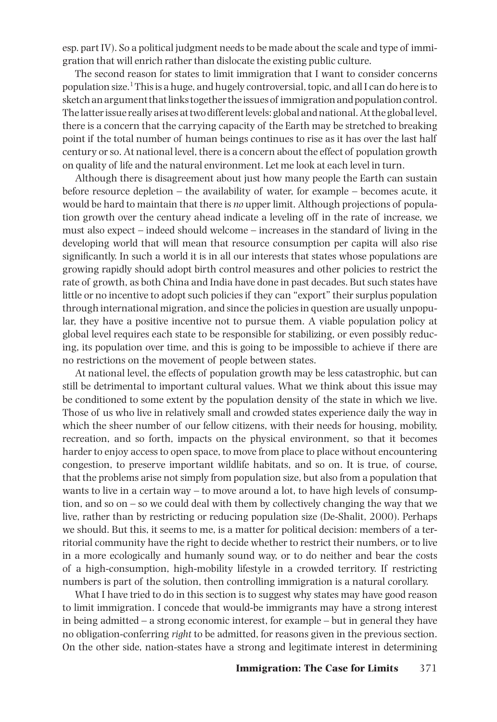esp. part IV). So a political judgment needs to be made about the scale and type of immigration that will enrich rather than dislocate the existing public culture.

The second reason for states to limit immigration that I want to consider concerns population size.<sup>1</sup> This is a huge, and hugely controversial, topic, and all I can do here is to sketch an argument that links together the issues of immigration and population control. The latter issue really arises at two different levels: global and national. At the global level, there is a concern that the carrying capacity of the Earth may be stretched to breaking point if the total number of human beings continues to rise as it has over the last half century or so. At national level, there is a concern about the effect of population growth on quality of life and the natural environment. Let me look at each level in turn.

Although there is disagreement about just how many people the Earth can sustain before resource depletion – the availability of water, for example – becomes acute, it would be hard to maintain that there is *no* upper limit. Although projections of population growth over the century ahead indicate a leveling off in the rate of increase, we must also expect – indeed should welcome – increases in the standard of living in the developing world that will mean that resource consumption per capita will also rise significantly. In such a world it is in all our interests that states whose populations are growing rapidly should adopt birth control measures and other policies to restrict the rate of growth, as both China and India have done in past decades. But such states have little or no incentive to adopt such policies if they can "export" their surplus population through international migration, and since the policies in question are usually unpopular, they have a positive incentive not to pursue them. A viable population policy at global level requires each state to be responsible for stabilizing, or even possibly reducing, its population over time, and this is going to be impossible to achieve if there are no restrictions on the movement of people between states.

At national level, the effects of population growth may be less catastrophic, but can still be detrimental to important cultural values. What we think about this issue may be conditioned to some extent by the population density of the state in which we live. Those of us who live in relatively small and crowded states experience daily the way in which the sheer number of our fellow citizens, with their needs for housing, mobility, recreation, and so forth, impacts on the physical environment, so that it becomes harder to enjoy access to open space, to move from place to place without encountering congestion, to preserve important wildlife habitats, and so on. It is true, of course, that the problems arise not simply from population size, but also from a population that wants to live in a certain way – to move around a lot, to have high levels of consumption, and so on – so we could deal with them by collectively changing the way that we live, rather than by restricting or reducing population size (De-Shalit, 2000). Perhaps we should. But this, it seems to me, is a matter for political decision: members of a territorial community have the right to decide whether to restrict their numbers, or to live in a more ecologically and humanly sound way, or to do neither and bear the costs of a high-consumption, high-mobility lifestyle in a crowded territory. If restricting numbers is part of the solution, then controlling immigration is a natural corollary.

What I have tried to do in this section is to suggest why states may have good reason to limit immigration. I concede that would-be immigrants may have a strong interest in being admitted – a strong economic interest, for example – but in general they have no obligation-conferring *right* to be admitted, for reasons given in the previous section. On the other side, nation-states have a strong and legitimate interest in determining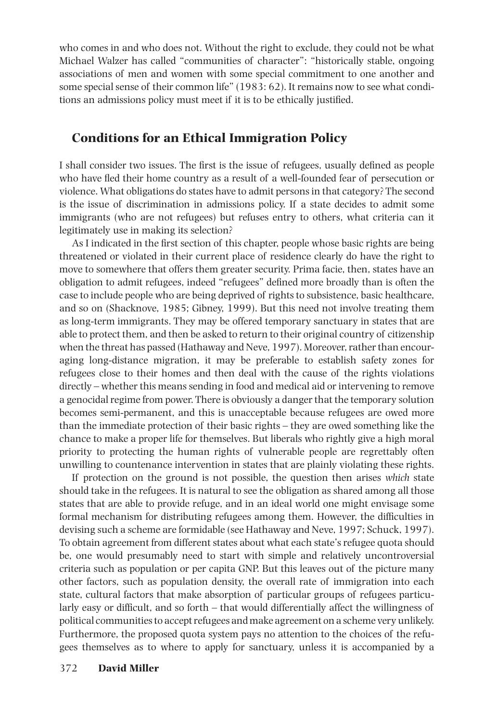who comes in and who does not. Without the right to exclude, they could not be what Michael Walzer has called "communities of character": "historically stable, ongoing associations of men and women with some special commitment to one another and some special sense of their common life" (1983: 62). It remains now to see what conditions an admissions policy must meet if it is to be ethically justified.

### **Conditions for an Ethical Immigration Policy**

I shall consider two issues. The first is the issue of refugees, usually defined as people who have fled their home country as a result of a well-founded fear of persecution or violence. What obligations do states have to admit persons in that category? The second is the issue of discrimination in admissions policy. If a state decides to admit some immigrants (who are not refugees) but refuses entry to others, what criteria can it legitimately use in making its selection?

As I indicated in the first section of this chapter, people whose basic rights are being threatened or violated in their current place of residence clearly do have the right to move to somewhere that offers them greater security. Prima facie, then, states have an obligation to admit refugees, indeed "refugees" defined more broadly than is often the case to include people who are being deprived of rights to subsistence, basic healthcare, and so on (Shacknove, 1985; Gibney, 1999). But this need not involve treating them as long-term immigrants. They may be offered temporary sanctuary in states that are able to protect them, and then be asked to return to their original country of citizenship when the threat has passed (Hathaway and Neve, 1997). Moreover, rather than encouraging long-distance migration, it may be preferable to establish safety zones for refugees close to their homes and then deal with the cause of the rights violations directly – whether this means sending in food and medical aid or intervening to remove a genocidal regime from power. There is obviously a danger that the temporary solution becomes semi-permanent, and this is unacceptable because refugees are owed more than the immediate protection of their basic rights – they are owed something like the chance to make a proper life for themselves. But liberals who rightly give a high moral priority to protecting the human rights of vulnerable people are regrettably often unwilling to countenance intervention in states that are plainly violating these rights.

If protection on the ground is not possible, the question then arises *which* state should take in the refugees. It is natural to see the obligation as shared among all those states that are able to provide refuge, and in an ideal world one might envisage some formal mechanism for distributing refugees among them. However, the difficulties in devising such a scheme are formidable (see Hathaway and Neve, 1997; Schuck, 1997). To obtain agreement from different states about what each state's refugee quota should be, one would presumably need to start with simple and relatively uncontroversial criteria such as population or per capita GNP. But this leaves out of the picture many other factors, such as population density, the overall rate of immigration into each state, cultural factors that make absorption of particular groups of refugees particularly easy or difficult, and so forth – that would differentially affect the willingness of political communities to accept refugees and make agreement on a scheme very unlikely. Furthermore, the proposed quota system pays no attention to the choices of the refugees themselves as to where to apply for sanctuary, unless it is accompanied by a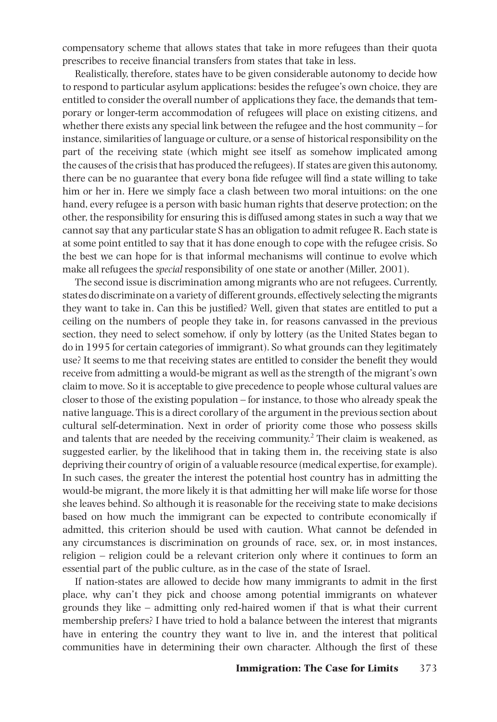compensatory scheme that allows states that take in more refugees than their quota prescribes to receive financial transfers from states that take in less.

Realistically, therefore, states have to be given considerable autonomy to decide how to respond to particular asylum applications: besides the refugee's own choice, they are entitled to consider the overall number of applications they face, the demands that temporary or longer-term accommodation of refugees will place on existing citizens, and whether there exists any special link between the refugee and the host community – for instance, similarities of language or culture, or a sense of historical responsibility on the part of the receiving state (which might see itself as somehow implicated among the causes of the crisis that has produced the refugees). If states are given this autonomy, there can be no guarantee that every bona fide refugee will find a state willing to take him or her in. Here we simply face a clash between two moral intuitions: on the one hand, every refugee is a person with basic human rights that deserve protection; on the other, the responsibility for ensuring this is diffused among states in such a way that we cannot say that any particular state S has an obligation to admit refugee R. Each state is at some point entitled to say that it has done enough to cope with the refugee crisis. So the best we can hope for is that informal mechanisms will continue to evolve which make all refugees the *special* responsibility of one state or another (Miller, 2001).

The second issue is discrimination among migrants who are not refugees. Currently, states do discriminate on a variety of different grounds, effectively selecting the migrants they want to take in. Can this be justified? Well, given that states are entitled to put a ceiling on the numbers of people they take in, for reasons canvassed in the previous section, they need to select somehow, if only by lottery (as the United States began to do in 1995 for certain categories of immigrant). So what grounds can they legitimately use? It seems to me that receiving states are entitled to consider the benefit they would receive from admitting a would-be migrant as well as the strength of the migrant's own claim to move. So it is acceptable to give precedence to people whose cultural values are closer to those of the existing population – for instance, to those who already speak the native language. This is a direct corollary of the argument in the previous section about cultural self-determination. Next in order of priority come those who possess skills and talents that are needed by the receiving community.<sup>2</sup> Their claim is weakened, as suggested earlier, by the likelihood that in taking them in, the receiving state is also depriving their country of origin of a valuable resource (medical expertise, for example). In such cases, the greater the interest the potential host country has in admitting the would-be migrant, the more likely it is that admitting her will make life worse for those she leaves behind. So although it is reasonable for the receiving state to make decisions based on how much the immigrant can be expected to contribute economically if admitted, this criterion should be used with caution. What cannot be defended in any circumstances is discrimination on grounds of race, sex, or, in most instances, religion – religion could be a relevant criterion only where it continues to form an essential part of the public culture, as in the case of the state of Israel.

If nation-states are allowed to decide how many immigrants to admit in the first place, why can't they pick and choose among potential immigrants on whatever grounds they like – admitting only red-haired women if that is what their current membership prefers? I have tried to hold a balance between the interest that migrants have in entering the country they want to live in, and the interest that political communities have in determining their own character. Although the first of these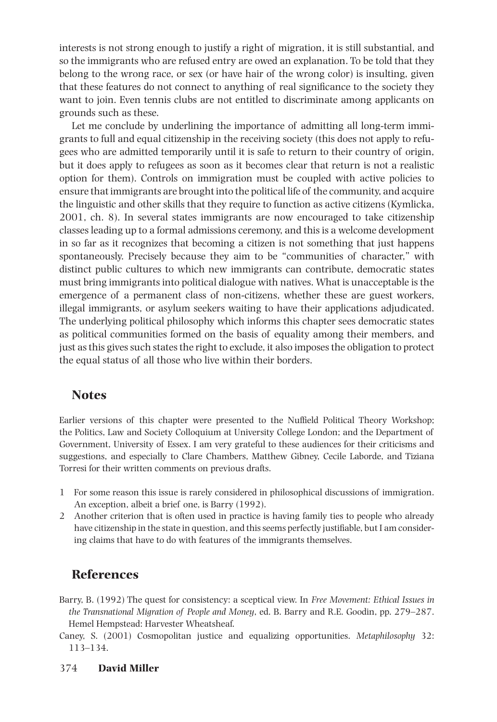interests is not strong enough to justify a right of migration, it is still substantial, and so the immigrants who are refused entry are owed an explanation. To be told that they belong to the wrong race, or sex (or have hair of the wrong color) is insulting, given that these features do not connect to anything of real significance to the society they want to join. Even tennis clubs are not entitled to discriminate among applicants on grounds such as these.

Let me conclude by underlining the importance of admitting all long-term immigrants to full and equal citizenship in the receiving society (this does not apply to refugees who are admitted temporarily until it is safe to return to their country of origin, but it does apply to refugees as soon as it becomes clear that return is not a realistic option for them). Controls on immigration must be coupled with active policies to ensure that immigrants are brought into the political life of the community, and acquire the linguistic and other skills that they require to function as active citizens (Kymlicka, 2001, ch. 8). In several states immigrants are now encouraged to take citizenship classes leading up to a formal admissions ceremony, and this is a welcome development in so far as it recognizes that becoming a citizen is not something that just happens spontaneously. Precisely because they aim to be "communities of character," with distinct public cultures to which new immigrants can contribute, democratic states must bring immigrants into political dialogue with natives. What is unacceptable is the emergence of a permanent class of non-citizens, whether these are guest workers, illegal immigrants, or asylum seekers waiting to have their applications adjudicated. The underlying political philosophy which informs this chapter sees democratic states as political communities formed on the basis of equality among their members, and just as this gives such states the right to exclude, it also imposes the obligation to protect the equal status of all those who live within their borders.

#### **Notes**

Earlier versions of this chapter were presented to the Nuffield Political Theory Workshop; the Politics, Law and Society Colloquium at University College London; and the Department of Government, University of Essex. I am very grateful to these audiences for their criticisms and suggestions, and especially to Clare Chambers, Matthew Gibney, Cecile Laborde, and Tiziana Torresi for their written comments on previous drafts.

- 1 For some reason this issue is rarely considered in philosophical discussions of immigration. An exception, albeit a brief one, is Barry (1992).
- 2 Another criterion that is often used in practice is having family ties to people who already have citizenship in the state in question, and this seems perfectly justifiable, but I am considering claims that have to do with features of the immigrants themselves.

## **References**

- Barry, B. (1992) The quest for consistency: a sceptical view. In *Free Movement: Ethical Issues in the Transnational Migration of People and Money*, ed. B. Barry and R.E. Goodin, pp. 279–287. Hemel Hempstead: Harvester Wheatsheaf.
- Caney, S. (2001) Cosmopolitan justice and equalizing opportunities. *Metaphilosophy* 32: 113–134.

#### 374 **David Miller**